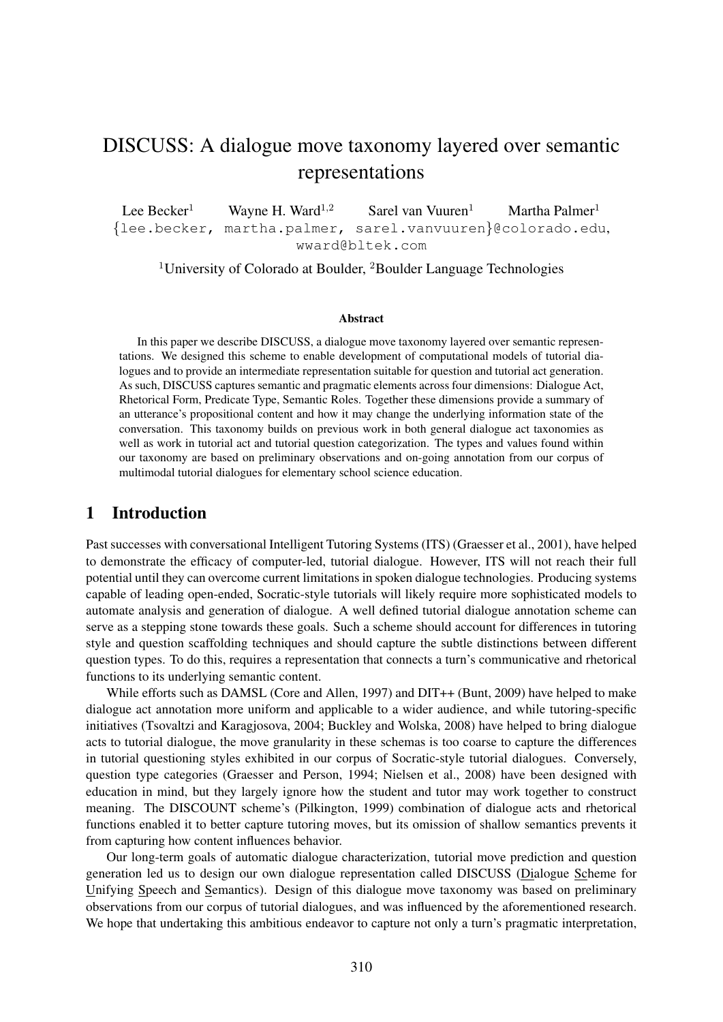# DISCUSS: A dialogue move taxonomy layered over semantic representations

Lee Becker<sup>1</sup> Wayne H. Ward<sup>1,2</sup> Sarel van Vuuren<sup>1</sup> Martha Palmer<sup>1</sup> {lee.becker, martha.palmer, sarel.vanvuuren}@colorado.edu, wward@bltek.com

<sup>1</sup>University of Colorado at Boulder,  ${}^{2}$ Boulder Language Technologies

#### Abstract

In this paper we describe DISCUSS, a dialogue move taxonomy layered over semantic representations. We designed this scheme to enable development of computational models of tutorial dialogues and to provide an intermediate representation suitable for question and tutorial act generation. As such, DISCUSS captures semantic and pragmatic elements across four dimensions: Dialogue Act, Rhetorical Form, Predicate Type, Semantic Roles. Together these dimensions provide a summary of an utterance's propositional content and how it may change the underlying information state of the conversation. This taxonomy builds on previous work in both general dialogue act taxonomies as well as work in tutorial act and tutorial question categorization. The types and values found within our taxonomy are based on preliminary observations and on-going annotation from our corpus of multimodal tutorial dialogues for elementary school science education.

## 1 Introduction

Past successes with conversational Intelligent Tutoring Systems (ITS) (Graesser et al., 2001), have helped to demonstrate the efficacy of computer-led, tutorial dialogue. However, ITS will not reach their full potential until they can overcome current limitations in spoken dialogue technologies. Producing systems capable of leading open-ended, Socratic-style tutorials will likely require more sophisticated models to automate analysis and generation of dialogue. A well defined tutorial dialogue annotation scheme can serve as a stepping stone towards these goals. Such a scheme should account for differences in tutoring style and question scaffolding techniques and should capture the subtle distinctions between different question types. To do this, requires a representation that connects a turn's communicative and rhetorical functions to its underlying semantic content.

While efforts such as DAMSL (Core and Allen, 1997) and DIT++ (Bunt, 2009) have helped to make dialogue act annotation more uniform and applicable to a wider audience, and while tutoring-specific initiatives (Tsovaltzi and Karagjosova, 2004; Buckley and Wolska, 2008) have helped to bring dialogue acts to tutorial dialogue, the move granularity in these schemas is too coarse to capture the differences in tutorial questioning styles exhibited in our corpus of Socratic-style tutorial dialogues. Conversely, question type categories (Graesser and Person, 1994; Nielsen et al., 2008) have been designed with education in mind, but they largely ignore how the student and tutor may work together to construct meaning. The DISCOUNT scheme's (Pilkington, 1999) combination of dialogue acts and rhetorical functions enabled it to better capture tutoring moves, but its omission of shallow semantics prevents it from capturing how content influences behavior.

Our long-term goals of automatic dialogue characterization, tutorial move prediction and question generation led us to design our own dialogue representation called DISCUSS (Dialogue Scheme for Unifying Speech and Semantics). Design of this dialogue move taxonomy was based on preliminary observations from our corpus of tutorial dialogues, and was influenced by the aforementioned research. We hope that undertaking this ambitious endeavor to capture not only a turn's pragmatic interpretation,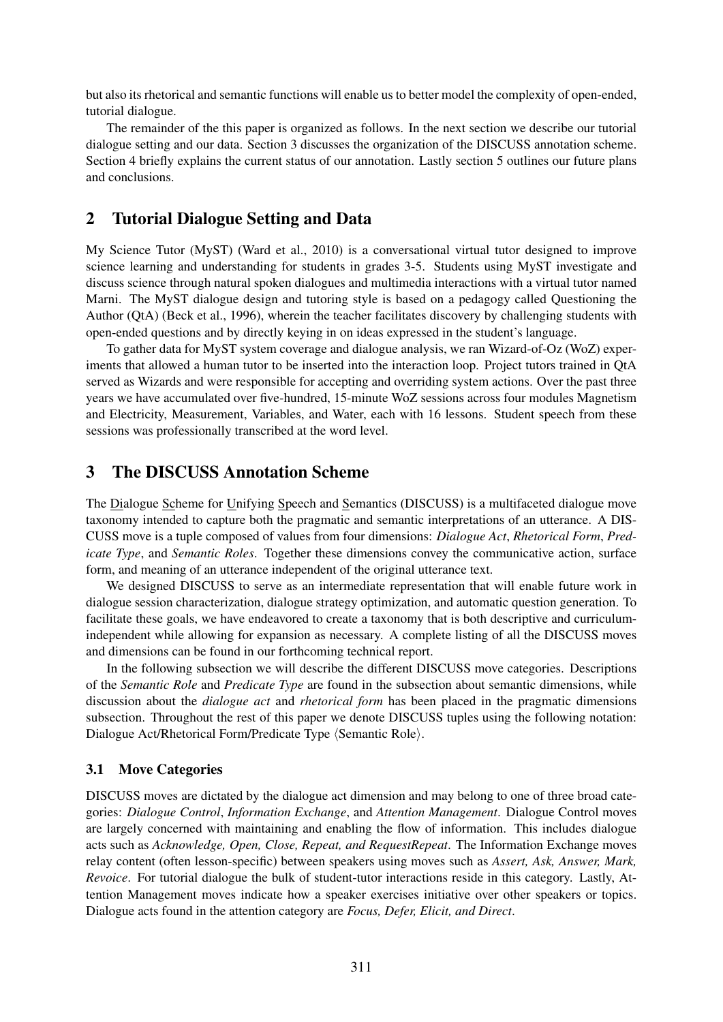but also its rhetorical and semantic functions will enable us to better model the complexity of open-ended, tutorial dialogue.

The remainder of the this paper is organized as follows. In the next section we describe our tutorial dialogue setting and our data. Section 3 discusses the organization of the DISCUSS annotation scheme. Section 4 briefly explains the current status of our annotation. Lastly section 5 outlines our future plans and conclusions.

## 2 Tutorial Dialogue Setting and Data

My Science Tutor (MyST) (Ward et al., 2010) is a conversational virtual tutor designed to improve science learning and understanding for students in grades 3-5. Students using MyST investigate and discuss science through natural spoken dialogues and multimedia interactions with a virtual tutor named Marni. The MyST dialogue design and tutoring style is based on a pedagogy called Questioning the Author (QtA) (Beck et al., 1996), wherein the teacher facilitates discovery by challenging students with open-ended questions and by directly keying in on ideas expressed in the student's language.

To gather data for MyST system coverage and dialogue analysis, we ran Wizard-of-Oz (WoZ) experiments that allowed a human tutor to be inserted into the interaction loop. Project tutors trained in QtA served as Wizards and were responsible for accepting and overriding system actions. Over the past three years we have accumulated over five-hundred, 15-minute WoZ sessions across four modules Magnetism and Electricity, Measurement, Variables, and Water, each with 16 lessons. Student speech from these sessions was professionally transcribed at the word level.

## 3 The DISCUSS Annotation Scheme

The Dialogue Scheme for Unifying Speech and Semantics (DISCUSS) is a multifaceted dialogue move taxonomy intended to capture both the pragmatic and semantic interpretations of an utterance. A DIS-CUSS move is a tuple composed of values from four dimensions: *Dialogue Act*, *Rhetorical Form*, *Predicate Type*, and *Semantic Roles*. Together these dimensions convey the communicative action, surface form, and meaning of an utterance independent of the original utterance text.

We designed DISCUSS to serve as an intermediate representation that will enable future work in dialogue session characterization, dialogue strategy optimization, and automatic question generation. To facilitate these goals, we have endeavored to create a taxonomy that is both descriptive and curriculumindependent while allowing for expansion as necessary. A complete listing of all the DISCUSS moves and dimensions can be found in our forthcoming technical report.

In the following subsection we will describe the different DISCUSS move categories. Descriptions of the *Semantic Role* and *Predicate Type* are found in the subsection about semantic dimensions, while discussion about the *dialogue act* and *rhetorical form* has been placed in the pragmatic dimensions subsection. Throughout the rest of this paper we denote DISCUSS tuples using the following notation: Dialogue Act/Rhetorical Form/Predicate Type (Semantic Role).

#### 3.1 Move Categories

DISCUSS moves are dictated by the dialogue act dimension and may belong to one of three broad categories: *Dialogue Control*, *Information Exchange*, and *Attention Management*. Dialogue Control moves are largely concerned with maintaining and enabling the flow of information. This includes dialogue acts such as *Acknowledge, Open, Close, Repeat, and RequestRepeat*. The Information Exchange moves relay content (often lesson-specific) between speakers using moves such as *Assert, Ask, Answer, Mark, Revoice*. For tutorial dialogue the bulk of student-tutor interactions reside in this category. Lastly, Attention Management moves indicate how a speaker exercises initiative over other speakers or topics. Dialogue acts found in the attention category are *Focus, Defer, Elicit, and Direct*.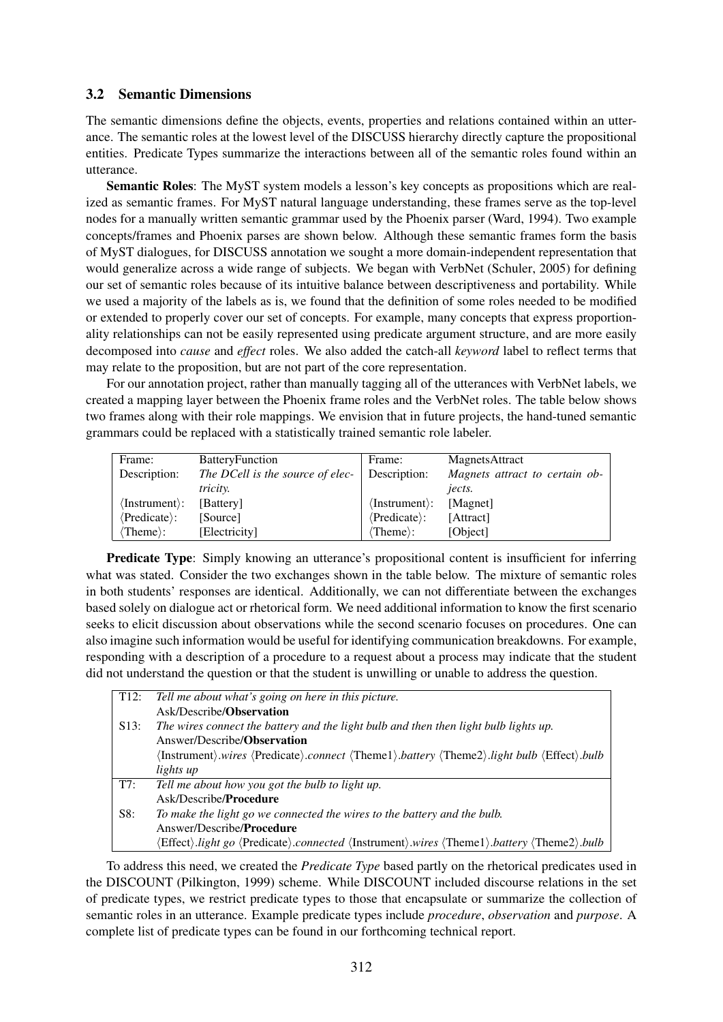### 3.2 Semantic Dimensions

The semantic dimensions define the objects, events, properties and relations contained within an utterance. The semantic roles at the lowest level of the DISCUSS hierarchy directly capture the propositional entities. Predicate Types summarize the interactions between all of the semantic roles found within an utterance.

Semantic Roles: The MyST system models a lesson's key concepts as propositions which are realized as semantic frames. For MyST natural language understanding, these frames serve as the top-level nodes for a manually written semantic grammar used by the Phoenix parser (Ward, 1994). Two example concepts/frames and Phoenix parses are shown below. Although these semantic frames form the basis of MyST dialogues, for DISCUSS annotation we sought a more domain-independent representation that would generalize across a wide range of subjects. We began with VerbNet (Schuler, 2005) for defining our set of semantic roles because of its intuitive balance between descriptiveness and portability. While we used a majority of the labels as is, we found that the definition of some roles needed to be modified or extended to properly cover our set of concepts. For example, many concepts that express proportionality relationships can not be easily represented using predicate argument structure, and are more easily decomposed into *cause* and *effect* roles. We also added the catch-all *keyword* label to reflect terms that may relate to the proposition, but are not part of the core representation.

For our annotation project, rather than manually tagging all of the utterances with VerbNet labels, we created a mapping layer between the Phoenix frame roles and the VerbNet roles. The table below shows two frames along with their role mappings. We envision that in future projects, the hand-tuned semantic grammars could be replaced with a statistically trained semantic role labeler.

| Frame:                           | <b>Battery</b> Function          | Frame:                           | MagnetsAttract                 |
|----------------------------------|----------------------------------|----------------------------------|--------------------------------|
| Description:                     | The DCell is the source of elec- | Description:                     | Magnets attract to certain ob- |
|                                  | <i>tricity.</i>                  |                                  | jects.                         |
| $\langle$ Instrument $\rangle$ : | [Battery]                        | $\langle$ Instrument $\rangle$ : | [Magnet]                       |
| $\langle$ Predicate $\rangle$ :  | [Source]                         | $\langle$ Predicate $\rangle$ :  | [Attract]                      |
| $\langle$ Theme $\rangle$ :      | [Electricity]                    | $\langle$ Theme $\rangle$ :      | [Object]                       |

Predicate Type: Simply knowing an utterance's propositional content is insufficient for inferring what was stated. Consider the two exchanges shown in the table below. The mixture of semantic roles in both students' responses are identical. Additionally, we can not differentiate between the exchanges based solely on dialogue act or rhetorical form. We need additional information to know the first scenario seeks to elicit discussion about observations while the second scenario focuses on procedures. One can also imagine such information would be useful for identifying communication breakdowns. For example, responding with a description of a procedure to a request about a process may indicate that the student did not understand the question or that the student is unwilling or unable to address the question.

|      | T12: Tell me about what's going on here in this picture.                                  |
|------|-------------------------------------------------------------------------------------------|
|      |                                                                                           |
|      | Ask/Describe/ <b>Observation</b>                                                          |
| S13: | The wires connect the battery and the light bulb and then then light bulb lights up.      |
|      | Answer/Describe/ <b>Observation</b>                                                       |
|      | (Instrument).wires (Predicate).connect (Theme1).battery (Theme2).light bulb (Effect).bulb |
|      | lights up                                                                                 |
| T7:  | Tell me about how you got the bulb to light up.                                           |
|      | Ask/Describe/ <b>Procedure</b>                                                            |
| S8:  | To make the light go we connected the wires to the battery and the bulb.                  |
|      | Answer/Describe/ <b>Procedure</b>                                                         |
|      | Effect).light go (Predicate).connected (Instrument).wires (Theme1).battery (Theme2).bulb  |

To address this need, we created the *Predicate Type* based partly on the rhetorical predicates used in the DISCOUNT (Pilkington, 1999) scheme. While DISCOUNT included discourse relations in the set of predicate types, we restrict predicate types to those that encapsulate or summarize the collection of semantic roles in an utterance. Example predicate types include *procedure*, *observation* and *purpose*. A complete list of predicate types can be found in our forthcoming technical report.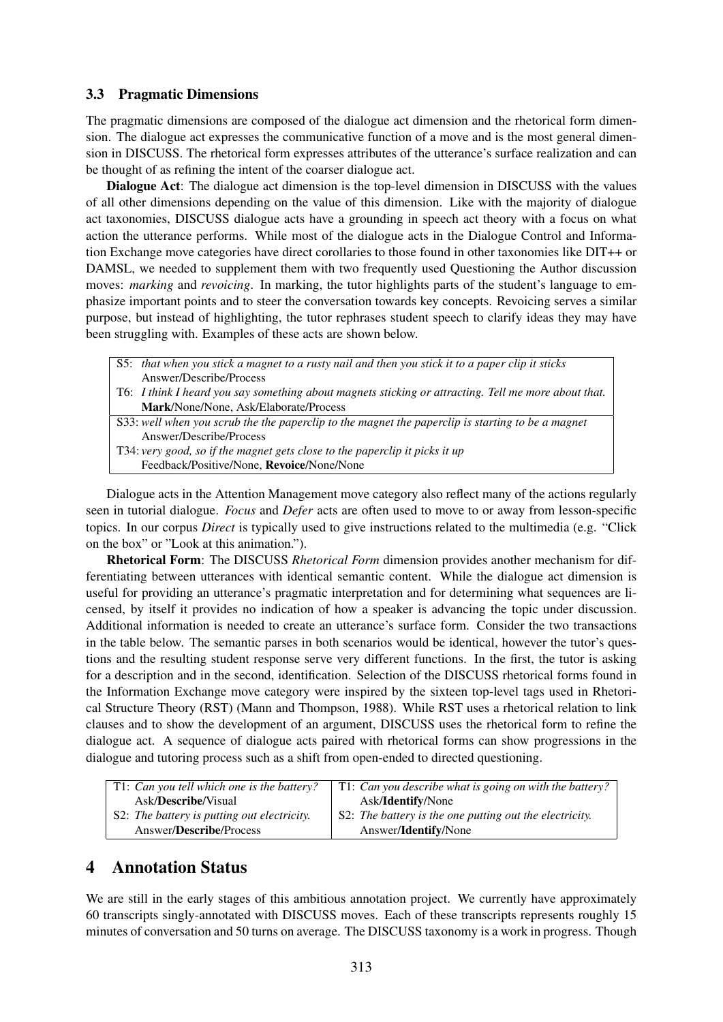#### 3.3 Pragmatic Dimensions

The pragmatic dimensions are composed of the dialogue act dimension and the rhetorical form dimension. The dialogue act expresses the communicative function of a move and is the most general dimension in DISCUSS. The rhetorical form expresses attributes of the utterance's surface realization and can be thought of as refining the intent of the coarser dialogue act.

Dialogue Act: The dialogue act dimension is the top-level dimension in DISCUSS with the values of all other dimensions depending on the value of this dimension. Like with the majority of dialogue act taxonomies, DISCUSS dialogue acts have a grounding in speech act theory with a focus on what action the utterance performs. While most of the dialogue acts in the Dialogue Control and Information Exchange move categories have direct corollaries to those found in other taxonomies like DIT++ or DAMSL, we needed to supplement them with two frequently used Questioning the Author discussion moves: *marking* and *revoicing*. In marking, the tutor highlights parts of the student's language to emphasize important points and to steer the conversation towards key concepts. Revoicing serves a similar purpose, but instead of highlighting, the tutor rephrases student speech to clarify ideas they may have been struggling with. Examples of these acts are shown below.

- S5: *that when you stick a magnet to a rusty nail and then you stick it to a paper clip it sticks* Answer/Describe/Process
- T6: *I think I heard you say something about magnets sticking or attracting. Tell me more about that.* Mark/None/None, Ask/Elaborate/Process
- S33: *well when you scrub the the paperclip to the magnet the paperclip is starting to be a magnet* Answer/Describe/Process
- T34: *very good, so if the magnet gets close to the paperclip it picks it up*
	- Feedback/Positive/None, Revoice/None/None

Dialogue acts in the Attention Management move category also reflect many of the actions regularly seen in tutorial dialogue. *Focus* and *Defer* acts are often used to move to or away from lesson-specific topics. In our corpus *Direct* is typically used to give instructions related to the multimedia (e.g. "Click on the box" or "Look at this animation.").

Rhetorical Form: The DISCUSS *Rhetorical Form* dimension provides another mechanism for differentiating between utterances with identical semantic content. While the dialogue act dimension is useful for providing an utterance's pragmatic interpretation and for determining what sequences are licensed, by itself it provides no indication of how a speaker is advancing the topic under discussion. Additional information is needed to create an utterance's surface form. Consider the two transactions in the table below. The semantic parses in both scenarios would be identical, however the tutor's questions and the resulting student response serve very different functions. In the first, the tutor is asking for a description and in the second, identification. Selection of the DISCUSS rhetorical forms found in the Information Exchange move category were inspired by the sixteen top-level tags used in Rhetorical Structure Theory (RST) (Mann and Thompson, 1988). While RST uses a rhetorical relation to link clauses and to show the development of an argument, DISCUSS uses the rhetorical form to refine the dialogue act. A sequence of dialogue acts paired with rhetorical forms can show progressions in the dialogue and tutoring process such as a shift from open-ended to directed questioning.

| T1: Can you tell which one is the battery?  | $\mid$ T1: Can you describe what is going on with the battery? |
|---------------------------------------------|----------------------------------------------------------------|
| Ask/ <b>Describe</b> /Visual                | Ask/Identify/None                                              |
| S2: The battery is putting out electricity. | S2: The battery is the one putting out the electricity.        |
| Answer/Describe/Process                     | Answer/ <b>Identify</b> /None                                  |

## 4 Annotation Status

We are still in the early stages of this ambitious annotation project. We currently have approximately 60 transcripts singly-annotated with DISCUSS moves. Each of these transcripts represents roughly 15 minutes of conversation and 50 turns on average. The DISCUSS taxonomy is a work in progress. Though